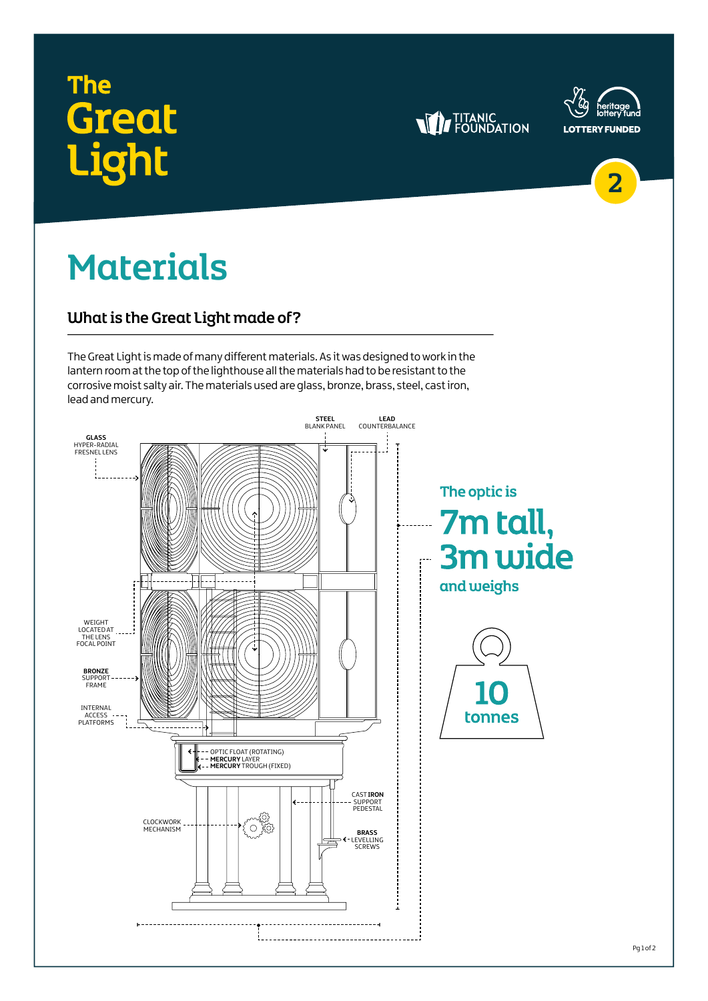### **The Great** .iaht





2

Pg 1 of 2

## Materials

#### What is the Great Light made of?

The Great Light is made of many different materials. As it was designed to work in the lantern room at the top of the lighthouse all the materials had to be resistant to the corrosive moist salty air. The materials used are glass, bronze, brass, steel, cast iron, lead and mercury.